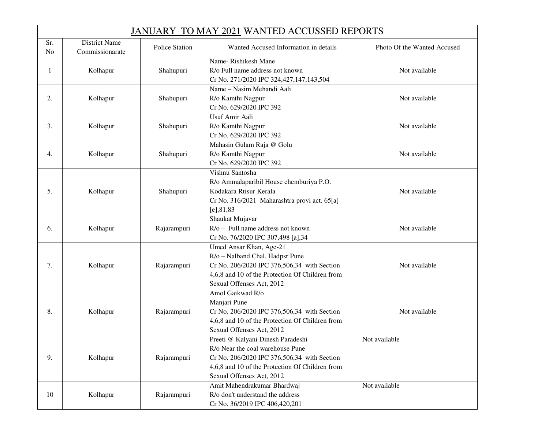| JANUARY TO MAY 2021 WANTED ACCUSSED REPORTS |                                  |                       |                                                                                                                                                                                                      |                             |
|---------------------------------------------|----------------------------------|-----------------------|------------------------------------------------------------------------------------------------------------------------------------------------------------------------------------------------------|-----------------------------|
| Sr.<br>No                                   | District Name<br>Commissionarate | <b>Police Station</b> | Wanted Accused Information in details                                                                                                                                                                | Photo Of the Wanted Accused |
| 1                                           | Kolhapur                         | Shahupuri             | Name-Rishikesh Mane<br>R/o Full name address not known<br>Cr No. 271/2020 IPC 324,427,147,143,504                                                                                                    | Not available               |
| 2.                                          | Kolhapur                         | Shahupuri             | Name - Nasim Mehandi Aali<br>R/o Kamthi Nagpur<br>Cr No. 629/2020 IPC 392                                                                                                                            | Not available               |
| 3.                                          | Kolhapur                         | Shahupuri             | Usuf Amir Aali<br>R/o Kamthi Nagpur<br>Cr No. 629/2020 IPC 392                                                                                                                                       | Not available               |
| $\overline{4}$ .                            | Kolhapur                         | Shahupuri             | Mahasin Gulam Raja @ Golu<br>R/o Kamthi Nagpur<br>Cr No. 629/2020 IPC 392                                                                                                                            | Not available               |
| 5.                                          | Kolhapur                         | Shahupuri             | Vishnu Santosha<br>R/o Ammalaparibil House chemburiya P.O.<br>Kodakara Rtisur Kerala<br>Cr No. 316/2021 Maharashtra provi act. 65[a]<br>$[e]$ , 81, 83                                               | Not available               |
| 6.                                          | Kolhapur                         | Rajarampuri           | Shaukat Mujavar<br>$R/O - Full$ name address not known<br>Cr No. 76/2020 IPC 307,498 [a],34                                                                                                          | Not available               |
| 7.                                          | Kolhapur                         | Rajarampuri           | Umed Ansar Khan, Age-21<br>R/o - Nalband Chal, Hadpsr Pune<br>Cr No. 206/2020 IPC 376,506,34 with Section<br>4,6,8 and 10 of the Protection Of Children from<br>Sexual Offenses Act, 2012            | Not available               |
| 8.                                          | Kolhapur                         | Rajarampuri           | Amol Gaikwad R/o<br>Manjari Pune<br>Cr No. 206/2020 IPC 376,506,34 with Section<br>4,6,8 and 10 of the Protection Of Children from<br>Sexual Offenses Act, 2012                                      | Not available               |
| 9.                                          | Kolhapur                         | Rajarampuri           | Preeti @ Kalyani Dinesh Paradeshi<br>R/o Near the coal warehouse Pune<br>Cr No. 206/2020 IPC 376,506,34 with Section<br>4,6,8 and 10 of the Protection Of Children from<br>Sexual Offenses Act, 2012 | Not available               |
| 10                                          | Kolhapur                         | Rajarampuri           | Amit Mahendrakumar Bhardwaj<br>R/o don't understand the address<br>Cr No. 36/2019 IPC 406,420,201                                                                                                    | Not available               |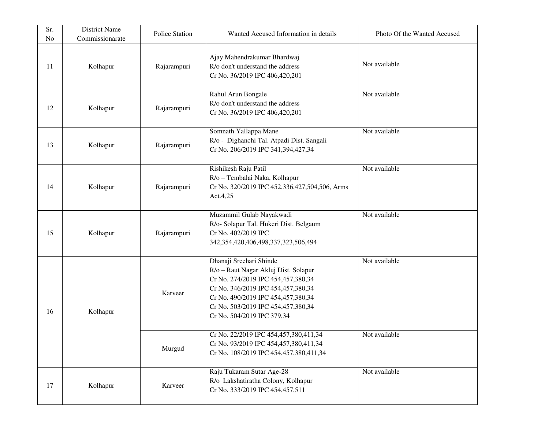| Sr.<br>N <sub>o</sub> | <b>District Name</b><br>Commissionarate | <b>Police Station</b> | Wanted Accused Information in details                                                                                                                                                                                                                 | Photo Of the Wanted Accused |
|-----------------------|-----------------------------------------|-----------------------|-------------------------------------------------------------------------------------------------------------------------------------------------------------------------------------------------------------------------------------------------------|-----------------------------|
| 11                    | Kolhapur                                | Rajarampuri           | Ajay Mahendrakumar Bhardwaj<br>R/o don't understand the address<br>Cr No. 36/2019 IPC 406,420,201                                                                                                                                                     | Not available               |
| 12                    | Kolhapur                                | Rajarampuri           | Rahul Arun Bongale<br>R/o don't understand the address<br>Cr No. 36/2019 IPC 406,420,201                                                                                                                                                              | Not available               |
| 13                    | Kolhapur                                | Rajarampuri           | Somnath Yallappa Mane<br>R/o - Dighanchi Tal. Atpadi Dist. Sangali<br>Cr No. 206/2019 IPC 341,394,427,34                                                                                                                                              | Not available               |
| 14                    | Kolhapur                                | Rajarampuri           | Rishikesh Raju Patil<br>R/o - Tembalai Naka, Kolhapur<br>Cr No. 320/2019 IPC 452,336,427,504,506, Arms<br>Act.4,25                                                                                                                                    | Not available               |
| 15                    | Kolhapur                                | Rajarampuri           | Muzammil Gulab Nayakwadi<br>R/o- Solapur Tal. Hukeri Dist. Belgaum<br>Cr No. 402/2019 IPC<br>342,354,420,406,498,337,323,506,494                                                                                                                      | Not available               |
| 16                    | Kolhapur                                | Karveer               | Dhanaji Sreehari Shinde<br>R/o - Raut Nagar Akluj Dist. Solapur<br>Cr No. 274/2019 IPC 454,457,380,34<br>Cr No. 346/2019 IPC 454,457,380,34<br>Cr No. 490/2019 IPC 454,457,380,34<br>Cr No. 503/2019 IPC 454,457,380,34<br>Cr No. 504/2019 IPC 379,34 | Not available               |
|                       |                                         | Murgud                | Cr No. 22/2019 IPC 454,457,380,411,34<br>Cr No. 93/2019 IPC 454,457,380,411,34<br>Cr No. 108/2019 IPC 454,457,380,411,34                                                                                                                              | Not available               |
| 17                    | Kolhapur                                | Karveer               | Raju Tukaram Sutar Age-28<br>R/o Lakshatiratha Colony, Kolhapur<br>Cr No. 333/2019 IPC 454,457,511                                                                                                                                                    | Not available               |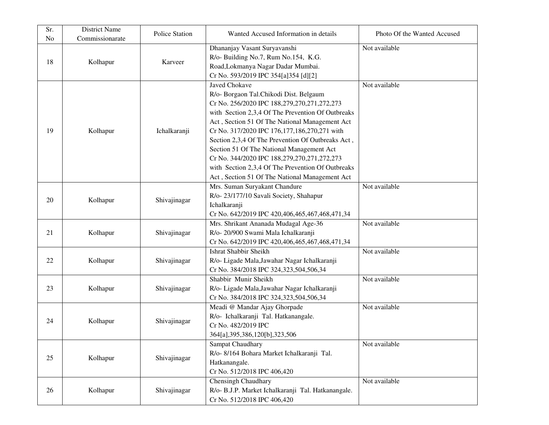| Sr.<br>No | District Name<br>Commissionarate | <b>Police Station</b> | Wanted Accused Information in details                                                                                                                                                                                                                                                                                                                                                                                                                                                                                        | Photo Of the Wanted Accused |
|-----------|----------------------------------|-----------------------|------------------------------------------------------------------------------------------------------------------------------------------------------------------------------------------------------------------------------------------------------------------------------------------------------------------------------------------------------------------------------------------------------------------------------------------------------------------------------------------------------------------------------|-----------------------------|
| 18        | Kolhapur                         | Karveer               | Dhananjay Vasant Suryavanshi<br>R/o- Building No.7, Rum No.154, K.G.<br>Road, Lokmanya Nagar Dadar Mumbai.<br>Cr No. 593/2019 IPC 354[a]354 [d][2]                                                                                                                                                                                                                                                                                                                                                                           | Not available               |
| 19        | Kolhapur                         | Ichalkaranji          | <b>Javed Chokave</b><br>R/o- Borgaon Tal.Chikodi Dist. Belgaum<br>Cr No. 256/2020 IPC 188,279,270,271,272,273<br>with Section 2,3,4 Of The Prevention Of Outbreaks<br>Act, Section 51 Of The National Management Act<br>Cr No. 317/2020 IPC 176,177,186,270,271 with<br>Section 2,3,4 Of The Prevention Of Outbreaks Act,<br>Section 51 Of The National Management Act<br>Cr No. 344/2020 IPC 188,279,270,271,272,273<br>with Section 2,3,4 Of The Prevention Of Outbreaks<br>Act, Section 51 Of The National Management Act | Not available               |
| 20        | Kolhapur                         | Shivajinagar          | Mrs. Suman Suryakant Chandure<br>R/o- 23/177/10 Savali Society, Shahapur<br>Ichalkaranji<br>Cr No. 642/2019 IPC 420,406,465,467,468,471,34                                                                                                                                                                                                                                                                                                                                                                                   | Not available               |
| 21        | Kolhapur                         | Shivajinagar          | Mrs. Shrikant Ananada Mudagal Age-36<br>R/o- 20/900 Swami Mala Ichalkaranji<br>Cr No. 642/2019 IPC 420,406,465,467,468,471,34                                                                                                                                                                                                                                                                                                                                                                                                | Not available               |
| 22        | Kolhapur                         | Shivajinagar          | Ishrat Shabbir Sheikh<br>R/o- Ligade Mala, Jawahar Nagar Ichalkaranji<br>Cr No. 384/2018 IPC 324,323,504,506,34                                                                                                                                                                                                                                                                                                                                                                                                              | Not available               |
| 23        | Kolhapur                         | Shivajinagar          | Shabbir Munir Sheikh<br>R/o- Ligade Mala, Jawahar Nagar Ichalkaranji<br>Cr No. 384/2018 IPC 324,323,504,506,34                                                                                                                                                                                                                                                                                                                                                                                                               | Not available               |
| 24        | Kolhapur                         | Shivajinagar          | Meadi @ Mandar Ajay Ghorpade<br>R/o- Ichalkaranji Tal. Hatkanangale.<br>Cr No. 482/2019 IPC<br>364[a], 395, 386, 120[b], 323, 506                                                                                                                                                                                                                                                                                                                                                                                            | Not available               |
| 25        | Kolhapur                         | Shivajinagar          | Sampat Chaudhary<br>R/o- 8/164 Bohara Market Ichalkaranji Tal.<br>Hatkanangale.<br>Cr No. 512/2018 IPC 406,420                                                                                                                                                                                                                                                                                                                                                                                                               | Not available               |
| 26        | Kolhapur                         | Shivajinagar          | Chensingh Chaudhary<br>R/o- B.J.P. Market Ichalkaranji Tal. Hatkanangale.<br>Cr No. 512/2018 IPC 406,420                                                                                                                                                                                                                                                                                                                                                                                                                     | Not available               |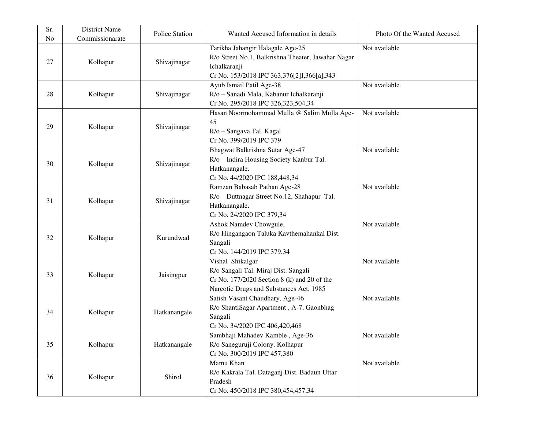| Sr.<br>No | <b>District Name</b><br>Commissionarate | <b>Police Station</b> | Wanted Accused Information in details                                                                                                                | Photo Of the Wanted Accused |
|-----------|-----------------------------------------|-----------------------|------------------------------------------------------------------------------------------------------------------------------------------------------|-----------------------------|
| 27        | Kolhapur                                | Shivajinagar          | Tarikha Jahangir Halagale Age-25<br>R/o Street No.1, Balkrishna Theater, Jawahar Nagar<br>Ichalkaranji<br>Cr No. 153/2018 IPC 363,376[2]I,366[a],343 | Not available               |
| 28        | Kolhapur                                | Shivajinagar          | Ayub Ismail Patil Age-38<br>R/o - Sanadi Mala, Kabanur Ichalkaranji<br>Cr No. 295/2018 IPC 326,323,504,34                                            | Not available               |
| 29        | Kolhapur                                | Shivajinagar          | Hasan Noormohammad Mulla @ Salim Mulla Age-<br>45<br>R/o - Sangava Tal. Kagal<br>Cr No. 399/2019 IPC 379                                             | Not available               |
| 30        | Kolhapur                                | Shivajinagar          | Bhagwat Balkrishna Sutar Age-47<br>R/o - Indira Housing Society Kanbur Tal.<br>Hatkanangale.<br>Cr No. 44/2020 IPC 188,448,34                        | Not available               |
| 31        | Kolhapur                                | Shivajinagar          | Ramzan Babasab Pathan Age-28<br>R/o - Duttnagar Street No.12, Shahapur Tal.<br>Hatkanangale.<br>Cr No. 24/2020 IPC 379,34                            | Not available               |
| 32        | Kolhapur                                | Kurundwad             | Ashok Namdev Chowgule,<br>R/o Hingangaon Taluka Kavthemahankal Dist.<br>Sangali<br>Cr No. 144/2019 IPC 379,34                                        | Not available               |
| 33        | Kolhapur                                | Jaisingpur            | Vishal Shikalgar<br>R/o Sangali Tal. Miraj Dist. Sangali<br>Cr No. 177/2020 Section 8 (k) and 20 of the<br>Narcotic Drugs and Substances Act, 1985   | Not available               |
| 34        | Kolhapur                                | Hatkanangale          | Satish Vasant Chaudhary, Age-46<br>R/o ShantiSagar Apartment, A-7, Gaonbhag<br>Sangali<br>Cr No. 34/2020 IPC 406,420,468                             | Not available               |
| 35        | Kolhapur                                | Hatkanangale          | Sambhaji Mahadev Kamble, Age-36<br>R/o Saneguruji Colony, Kolhapur<br>Cr No. 300/2019 IPC 457,380                                                    | Not available               |
| 36        | Kolhapur                                | Shirol                | Mamu Khan<br>R/o Kakrala Tal. Dataganj Dist. Badaun Uttar<br>Pradesh<br>Cr No. 450/2018 IPC 380,454,457,34                                           | Not available               |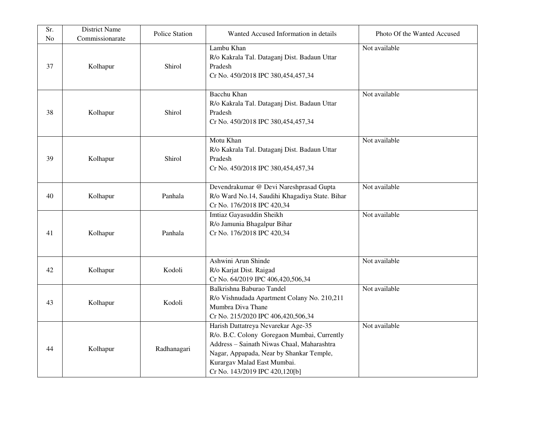| Sr.<br>N <sub>o</sub> | <b>District Name</b><br>Commissionarate | <b>Police Station</b> | Wanted Accused Information in details                                                                                                                                                                                                        | Photo Of the Wanted Accused |
|-----------------------|-----------------------------------------|-----------------------|----------------------------------------------------------------------------------------------------------------------------------------------------------------------------------------------------------------------------------------------|-----------------------------|
| 37                    | Kolhapur                                | Shirol                | Lambu Khan<br>R/o Kakrala Tal. Dataganj Dist. Badaun Uttar<br>Pradesh<br>Cr No. 450/2018 IPC 380,454,457,34                                                                                                                                  | Not available               |
| 38                    | Kolhapur                                | Shirol                | <b>Bacchu Khan</b><br>R/o Kakrala Tal. Dataganj Dist. Badaun Uttar<br>Pradesh<br>Cr No. 450/2018 IPC 380,454,457,34                                                                                                                          | Not available               |
| 39                    | Kolhapur                                | Shirol                | Motu Khan<br>R/o Kakrala Tal. Dataganj Dist. Badaun Uttar<br>Pradesh<br>Cr No. 450/2018 IPC 380,454,457,34                                                                                                                                   | Not available               |
| 40                    | Kolhapur                                | Panhala               | Devendrakumar @ Devi Nareshprasad Gupta<br>R/o Ward No.14, Saudihi Khagadiya State. Bihar<br>Cr No. 176/2018 IPC 420,34                                                                                                                      | Not available               |
| 41                    | Kolhapur                                | Panhala               | Imtiaz Gayasuddin Sheikh<br>R/o Jamunia Bhagalpur Bihar<br>Cr No. 176/2018 IPC 420,34                                                                                                                                                        | Not available               |
| 42                    | Kolhapur                                | Kodoli                | Ashwini Arun Shinde<br>R/o Karjat Dist. Raigad<br>Cr No. 64/2019 IPC 406,420,506,34                                                                                                                                                          | Not available               |
| 43                    | Kolhapur                                | Kodoli                | Balkrishna Baburao Tandel<br>R/o Vishnudada Apartment Colany No. 210,211<br>Mumbra Diva Thane<br>Cr No. 215/2020 IPC 406,420,506,34                                                                                                          | Not available               |
| 44                    | Kolhapur                                | Radhanagari           | Harish Dattatreya Nevarekar Age-35<br>R/o. B.C. Colony Goregaon Mumbai, Currently<br>Address - Sainath Niwas Chaal, Maharashtra<br>Nagar, Appapada, Near by Shankar Temple,<br>Kurargav Malad East Mumbai.<br>Cr No. 143/2019 IPC 420,120[b] | Not available               |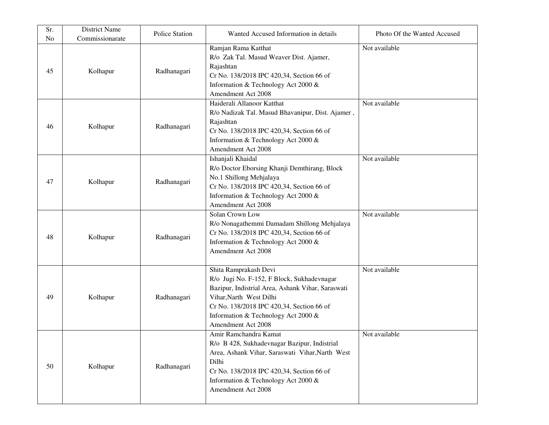| Sr.<br>N <sub>o</sub> | <b>District Name</b><br>Commissionarate | <b>Police Station</b> | Wanted Accused Information in details                                                                                                                                                                                                                         | Photo Of the Wanted Accused |
|-----------------------|-----------------------------------------|-----------------------|---------------------------------------------------------------------------------------------------------------------------------------------------------------------------------------------------------------------------------------------------------------|-----------------------------|
| 45                    | Kolhapur                                | Radhanagari           | Ramjan Rama Katthat<br>R/o Zak Tal. Masud Weaver Dist. Ajamer,<br>Rajashtan<br>Cr No. 138/2018 IPC 420,34, Section 66 of<br>Information & Technology Act 2000 &<br>Amendment Act 2008                                                                         | Not available               |
| 46                    | Kolhapur                                | Radhanagari           | Haiderali Allanoor Katthat<br>R/o Nadizak Tal. Masud Bhavanipur, Dist. Ajamer,<br>Rajashtan<br>Cr No. 138/2018 IPC 420,34, Section 66 of<br>Information & Technology Act 2000 &<br>Amendment Act 2008                                                         | Not available               |
| 47                    | Kolhapur                                | Radhanagari           | Ishanjali Khaidal<br>R/o Doctor Eborsing Khanji Demthirang, Block<br>No.1 Shillong Mehjalaya<br>Cr No. 138/2018 IPC 420,34, Section 66 of<br>Information & Technology Act 2000 &<br>Amendment Act 2008                                                        | Not available               |
| 48                    | Kolhapur                                | Radhanagari           | Solan Crown Low<br>R/o Nonagathemmi Damadam Shillong Mehjalaya<br>Cr No. 138/2018 IPC 420,34, Section 66 of<br>Information & Technology Act 2000 &<br>Amendment Act 2008                                                                                      | Not available               |
| 49                    | Kolhapur                                | Radhanagari           | Shita Ramprakash Devi<br>R/o Jugi No. F-152, F Block, Sukhadevnagar<br>Bazipur, Indistrial Area, Ashank Vihar, Saraswati<br>Vihar, Narth West Dilhi<br>Cr No. 138/2018 IPC 420,34, Section 66 of<br>Information & Technology Act 2000 &<br>Amendment Act 2008 | Not available               |
| 50                    | Kolhapur                                | Radhanagari           | Amir Ramchandra Kamat<br>R/o B 428, Sukhadevnagar Bazipur, Indistrial<br>Area, Ashank Vihar, Saraswati Vihar, Narth West<br>Dilhi<br>Cr No. 138/2018 IPC 420,34, Section 66 of<br>Information & Technology Act 2000 &<br>Amendment Act 2008                   | Not available               |